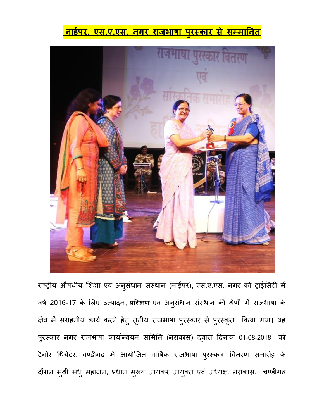## **नाईपर, एस.ए.एस. नगर राजभाषा प ुरस्कार से सम्माननत**



राष्ट्रीय औषधीय शिक्षा एव अनुसंधान संस्थान (नाईपर), एस.ए.एस. नगर को ट्राईसिटी में वषष 2016-17 के शिए उत्पादन, प्रशिक्षण एवं अन ुसंधान संस्थान की श्रेणी में राजभाषा के क्षेत्र में सराहनीय कार्य करने हेतु तृतीय राजभाषा पुरस्कार से पुरस्कृत किया गया। यह पुरस्कार नगर राजभाषा कार्यान्वयन समिति (नराकास) द्वारा दिनाक 01-08-2018 को टैगोर थथयेटर, चण्डीगढ़ में आयोजजत वार्षषक राजभाषा प ुरस्कार र्वतरण समारोह के दौरान सुश्री मधु महाजन, प्रधान मुख्य आयकर आयुक्त एव अध्यक्ष, नराकास, चण्डीगढ़